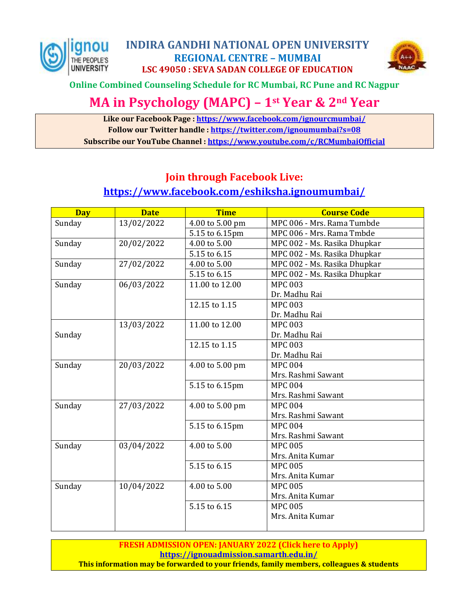



**Online Combined Counseling Schedule for RC Mumbai, RC Pune and RC Nagpur**

## **MA in Psychology (MAPC) – 1st Year & 2nd Year**

**Like our Facebook Page :<https://www.facebook.com/ignourcmumbai/> Follow our Twitter handle :<https://twitter.com/ignoumumbai?s=08> Subscribe our YouTube Channel [: https://www.youtube.com/c/RCMumbaiOfficial](https://www.youtube.com/c/RCMumbaiOfficial)**

## **Join through Facebook Live:**

## **<https://www.facebook.com/eshiksha.ignoumumbai/>**

| <b>Day</b> | <b>Date</b> | <b>Time</b>     | <b>Course Code</b>           |
|------------|-------------|-----------------|------------------------------|
| Sunday     | 13/02/2022  | 4.00 to 5.00 pm | MPC 006 - Mrs. Rama Tumbde   |
|            |             | 5.15 to 6.15pm  | MPC 006 - Mrs. Rama Tmbde    |
| Sunday     | 20/02/2022  | 4.00 to 5.00    | MPC 002 - Ms. Rasika Dhupkar |
|            |             | 5.15 to 6.15    | MPC 002 - Ms. Rasika Dhupkar |
| Sunday     | 27/02/2022  | 4.00 to 5.00    | MPC 002 - Ms. Rasika Dhupkar |
|            |             | 5.15 to 6.15    | MPC 002 - Ms. Rasika Dhupkar |
| Sunday     | 06/03/2022  | 11.00 to 12.00  | <b>MPC 003</b>               |
|            |             |                 | Dr. Madhu Rai                |
|            |             | 12.15 to 1.15   | <b>MPC 003</b>               |
|            |             |                 | Dr. Madhu Rai                |
|            | 13/03/2022  | 11.00 to 12.00  | <b>MPC 003</b>               |
| Sunday     |             |                 | Dr. Madhu Rai                |
|            |             | 12.15 to 1.15   | <b>MPC 003</b>               |
|            |             |                 | Dr. Madhu Rai                |
| Sunday     | 20/03/2022  | 4.00 to 5.00 pm | <b>MPC 004</b>               |
|            |             |                 | Mrs. Rashmi Sawant           |
|            |             | 5.15 to 6.15pm  | <b>MPC 004</b>               |
|            |             |                 | Mrs. Rashmi Sawant           |
| Sunday     | 27/03/2022  | 4.00 to 5.00 pm | <b>MPC 004</b>               |
|            |             |                 | Mrs. Rashmi Sawant           |
|            |             | 5.15 to 6.15pm  | <b>MPC 004</b>               |
|            |             |                 | Mrs. Rashmi Sawant           |
| Sunday     | 03/04/2022  | 4.00 to 5.00    | <b>MPC 005</b>               |
|            |             |                 | Mrs. Anita Kumar             |
|            |             | 5.15 to 6.15    | <b>MPC 005</b>               |
|            |             |                 | Mrs. Anita Kumar             |
| Sunday     | 10/04/2022  | 4.00 to 5.00    | <b>MPC 005</b>               |
|            |             |                 | Mrs. Anita Kumar             |
|            |             | 5.15 to 6.15    | <b>MPC 005</b>               |
|            |             |                 | Mrs. Anita Kumar             |
|            |             |                 |                              |

**FRESH ADMISSION OPEN: JANUARY 2022 (Click here to Apply) <https://ignouadmission.samarth.edu.in/> This information may be forwarded to your friends, family members, colleagues & students**